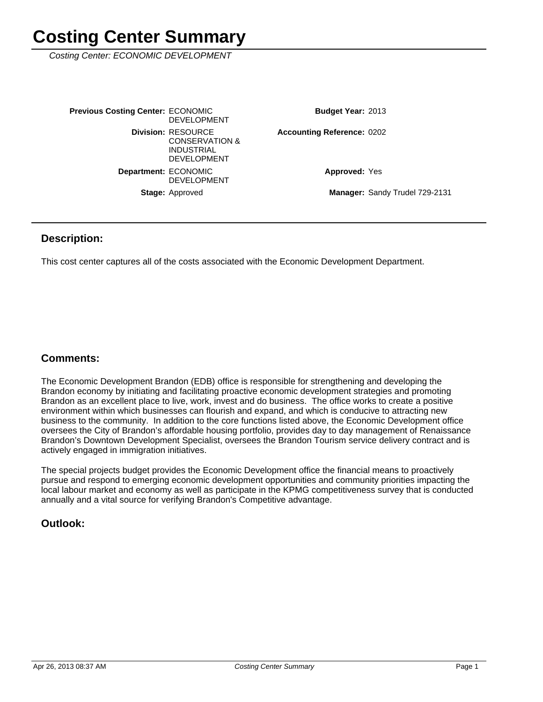Costing Center: ECONOMIC DEVELOPMENT

| <b>Previous Costing Center: ECONOMIC</b> | <b>DEVELOPMENT</b>                                                                                | <b>Budget Year: 2013</b>          |                                |
|------------------------------------------|---------------------------------------------------------------------------------------------------|-----------------------------------|--------------------------------|
|                                          | <b>Division: RESOURCE</b><br><b>CONSERVATION &amp;</b><br><b>INDUSTRIAL</b><br><b>DEVELOPMENT</b> | <b>Accounting Reference: 0202</b> |                                |
| Department: ECONOMIC                     | <b>DEVELOPMENT</b>                                                                                | <b>Approved: Yes</b>              |                                |
|                                          | <b>Stage: Approved</b>                                                                            |                                   | Manager: Sandy Trudel 729-2131 |

#### **Description:**

This cost center captures all of the costs associated with the Economic Development Department.

#### **Comments:**

The Economic Development Brandon (EDB) office is responsible for strengthening and developing the Brandon economy by initiating and facilitating proactive economic development strategies and promoting Brandon as an excellent place to live, work, invest and do business. The office works to create a positive environment within which businesses can flourish and expand, and which is conducive to attracting new business to the community. In addition to the core functions listed above, the Economic Development office oversees the City of Brandon's affordable housing portfolio, provides day to day management of Renaissance Brandon's Downtown Development Specialist, oversees the Brandon Tourism service delivery contract and is actively engaged in immigration initiatives.

The special projects budget provides the Economic Development office the financial means to proactively pursue and respond to emerging economic development opportunities and community priorities impacting the local labour market and economy as well as participate in the KPMG competitiveness survey that is conducted annually and a vital source for verifying Brandon's Competitive advantage.

#### **Outlook:**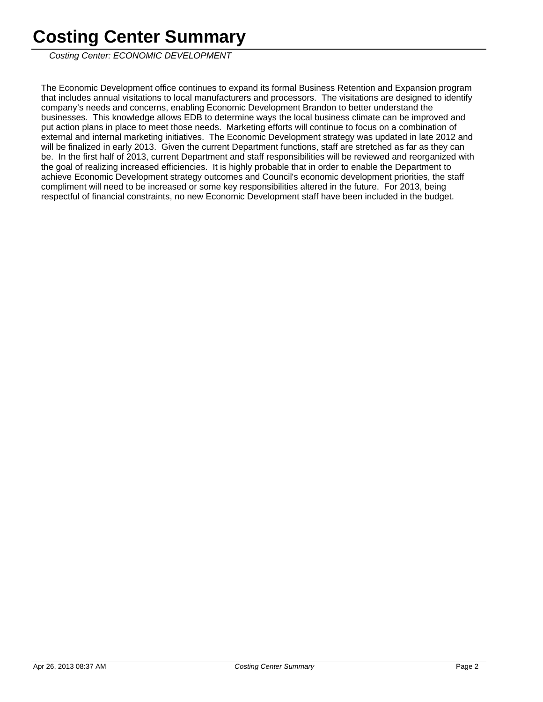Costing Center: ECONOMIC DEVELOPMENT

The Economic Development office continues to expand its formal Business Retention and Expansion program that includes annual visitations to local manufacturers and processors. The visitations are designed to identify company's needs and concerns, enabling Economic Development Brandon to better understand the businesses. This knowledge allows EDB to determine ways the local business climate can be improved and put action plans in place to meet those needs. Marketing efforts will continue to focus on a combination of external and internal marketing initiatives. The Economic Development strategy was updated in late 2012 and will be finalized in early 2013. Given the current Department functions, staff are stretched as far as they can be. In the first half of 2013, current Department and staff responsibilities will be reviewed and reorganized with the goal of realizing increased efficiencies. It is highly probable that in order to enable the Department to achieve Economic Development strategy outcomes and Council's economic development priorities, the staff compliment will need to be increased or some key responsibilities altered in the future. For 2013, being respectful of financial constraints, no new Economic Development staff have been included in the budget.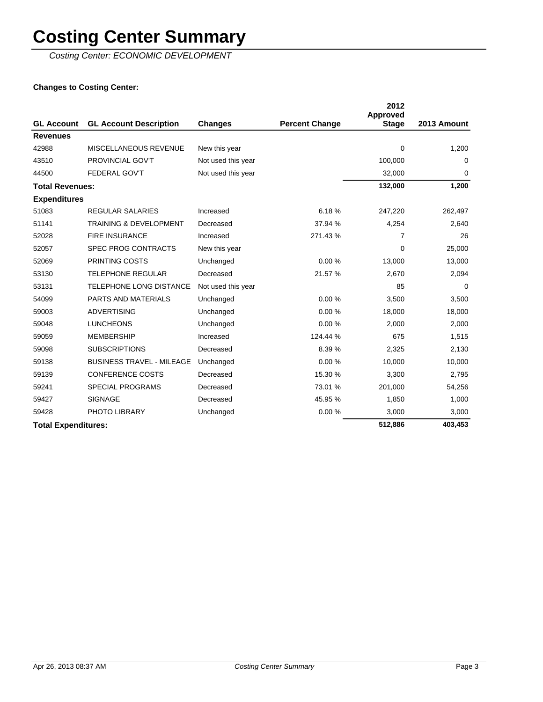Costing Center: ECONOMIC DEVELOPMENT

#### **Changes to Costing Center:**

|                            |                                   |                    |                       | 2012<br><b>Approved</b> |             |
|----------------------------|-----------------------------------|--------------------|-----------------------|-------------------------|-------------|
| <b>GL Account</b>          | <b>GL Account Description</b>     | Changes            | <b>Percent Change</b> | <b>Stage</b>            | 2013 Amount |
| <b>Revenues</b>            |                                   |                    |                       |                         |             |
| 42988                      | MISCELLANEOUS REVENUE             | New this year      |                       | 0                       | 1,200       |
| 43510                      | <b>PROVINCIAL GOV'T</b>           | Not used this year |                       | 100,000                 | $\Omega$    |
| 44500                      | <b>FEDERAL GOV'T</b>              | Not used this year |                       | 32,000                  | 0           |
| <b>Total Revenues:</b>     |                                   |                    |                       | 132,000                 | 1,200       |
| <b>Expenditures</b>        |                                   |                    |                       |                         |             |
| 51083                      | <b>REGULAR SALARIES</b>           | Increased          | 6.18%                 | 247,220                 | 262,497     |
| 51141                      | <b>TRAINING &amp; DEVELOPMENT</b> | Decreased          | 37.94 %               | 4,254                   | 2,640       |
| 52028                      | <b>FIRE INSURANCE</b>             | Increased          | 271.43%               | 7                       | 26          |
| 52057                      | <b>SPEC PROG CONTRACTS</b>        | New this year      |                       | $\Omega$                | 25,000      |
| 52069                      | PRINTING COSTS                    | Unchanged          | 0.00%                 | 13,000                  | 13,000      |
| 53130                      | <b>TELEPHONE REGULAR</b>          | Decreased          | 21.57 %               | 2,670                   | 2,094       |
| 53131                      | <b>TELEPHONE LONG DISTANCE</b>    | Not used this year |                       | 85                      | 0           |
| 54099                      | PARTS AND MATERIALS               | Unchanged          | 0.00%                 | 3,500                   | 3,500       |
| 59003                      | <b>ADVERTISING</b>                | Unchanged          | 0.00%                 | 18,000                  | 18,000      |
| 59048                      | <b>LUNCHEONS</b>                  | Unchanged          | 0.00%                 | 2,000                   | 2,000       |
| 59059                      | <b>MEMBERSHIP</b>                 | Increased          | 124.44 %              | 675                     | 1,515       |
| 59098                      | <b>SUBSCRIPTIONS</b>              | Decreased          | 8.39%                 | 2,325                   | 2,130       |
| 59138                      | <b>BUSINESS TRAVEL - MILEAGE</b>  | Unchanged          | 0.00%                 | 10,000                  | 10,000      |
| 59139                      | <b>CONFERENCE COSTS</b>           | Decreased          | 15.30 %               | 3,300                   | 2,795       |
| 59241                      | <b>SPECIAL PROGRAMS</b>           | Decreased          | 73.01 %               | 201,000                 | 54,256      |
| 59427                      | <b>SIGNAGE</b>                    | Decreased          | 45.95 %               | 1,850                   | 1,000       |
| 59428                      | PHOTO LIBRARY                     | Unchanged          | 0.00%                 | 3,000                   | 3,000       |
| <b>Total Expenditures:</b> |                                   |                    |                       | 512,886                 | 403,453     |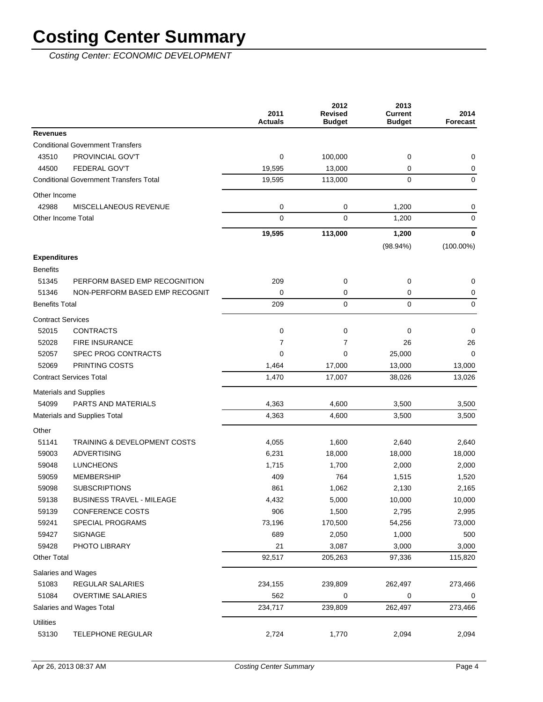Costing Center: ECONOMIC DEVELOPMENT

|                          |                                               | 2011<br><b>Actuals</b> | 2012<br><b>Revised</b><br><b>Budget</b> | 2013<br><b>Current</b><br><b>Budget</b> | 2014<br>Forecast |
|--------------------------|-----------------------------------------------|------------------------|-----------------------------------------|-----------------------------------------|------------------|
| <b>Revenues</b>          |                                               |                        |                                         |                                         |                  |
|                          | <b>Conditional Government Transfers</b>       |                        |                                         |                                         |                  |
| 43510                    | PROVINCIAL GOV'T                              | $\mathbf 0$            | 100,000                                 | 0                                       | 0                |
| 44500                    | <b>FEDERAL GOV'T</b>                          | 19,595                 | 13,000                                  | 0                                       | 0                |
|                          | <b>Conditional Government Transfers Total</b> | 19,595                 | 113,000                                 | 0                                       | 0                |
| Other Income             |                                               |                        |                                         |                                         |                  |
| 42988                    | MISCELLANEOUS REVENUE                         | 0                      | 0                                       | 1,200                                   | 0                |
| Other Income Total       |                                               | $\mathbf 0$            | 0                                       | 1,200                                   | 0                |
|                          |                                               | 19,595                 | 113,000                                 | 1,200                                   | $\mathbf 0$      |
|                          |                                               |                        |                                         | $(98.94\%)$                             | $(100.00\%)$     |
| <b>Expenditures</b>      |                                               |                        |                                         |                                         |                  |
| <b>Benefits</b>          |                                               |                        |                                         |                                         |                  |
| 51345                    | PERFORM BASED EMP RECOGNITION                 | 209                    | 0                                       | 0                                       | 0                |
| 51346                    | NON-PERFORM BASED EMP RECOGNIT                | 0                      | 0                                       | 0                                       | 0                |
| <b>Benefits Total</b>    |                                               | 209                    | 0                                       | 0                                       | $\mathbf 0$      |
| <b>Contract Services</b> |                                               |                        |                                         |                                         |                  |
| 52015                    | <b>CONTRACTS</b>                              | $\mathbf 0$            | 0                                       | 0                                       | 0                |
| 52028                    | <b>FIRE INSURANCE</b>                         | 7                      | 7                                       | 26                                      | 26               |
| 52057                    | <b>SPEC PROG CONTRACTS</b>                    | 0                      | 0                                       | 25,000                                  | 0                |
| 52069                    | PRINTING COSTS                                | 1,464                  | 17,000                                  | 13,000                                  | 13,000           |
|                          | <b>Contract Services Total</b>                | 1,470                  | 17,007                                  | 38,026                                  | 13,026           |
|                          | <b>Materials and Supplies</b>                 |                        |                                         |                                         |                  |
| 54099                    | <b>PARTS AND MATERIALS</b>                    | 4,363                  | 4,600                                   | 3,500                                   | 3,500            |
|                          | Materials and Supplies Total                  | 4,363                  | 4,600                                   | 3,500                                   | 3,500            |
| Other                    |                                               |                        |                                         |                                         |                  |
| 51141                    | <b>TRAINING &amp; DEVELOPMENT COSTS</b>       | 4,055                  | 1,600                                   | 2,640                                   | 2,640            |
| 59003                    | <b>ADVERTISING</b>                            | 6,231                  | 18,000                                  | 18,000                                  | 18,000           |
| 59048                    | <b>LUNCHEONS</b>                              | 1,715                  | 1,700                                   | 2,000                                   | 2,000            |
| 59059                    | MEMBERSHIP                                    | 409                    | 764                                     | 1,515                                   | 1,520            |
| 59098                    | <b>SUBSCRIPTIONS</b>                          | 861                    | 1,062                                   | 2,130                                   | 2,165            |
| 59138                    | <b>BUSINESS TRAVEL - MILEAGE</b>              | 4,432                  | 5,000                                   | 10,000                                  | 10,000           |
| 59139                    | CONFERENCE COSTS                              | 906                    | 1,500                                   | 2,795                                   | 2,995            |
| 59241                    | <b>SPECIAL PROGRAMS</b>                       | 73,196                 | 170,500                                 | 54,256                                  | 73,000           |
| 59427                    | <b>SIGNAGE</b>                                | 689                    | 2,050                                   | 1,000                                   | 500              |
| 59428                    | PHOTO LIBRARY                                 | 21                     | 3,087                                   | 3,000                                   | 3,000            |
| <b>Other Total</b>       |                                               | 92,517                 | 205,263                                 | 97,336                                  | 115,820          |
| Salaries and Wages       |                                               |                        |                                         |                                         |                  |
| 51083                    | REGULAR SALARIES                              | 234,155                | 239,809                                 | 262,497                                 | 273,466          |
| 51084                    | <b>OVERTIME SALARIES</b>                      | 562                    | 0                                       | 0                                       | 0                |
|                          | Salaries and Wages Total                      | 234,717                | 239,809                                 | 262,497                                 | 273,466          |
| <b>Utilities</b>         |                                               |                        |                                         |                                         |                  |
| 53130                    | <b>TELEPHONE REGULAR</b>                      | 2,724                  | 1,770                                   | 2,094                                   | 2,094            |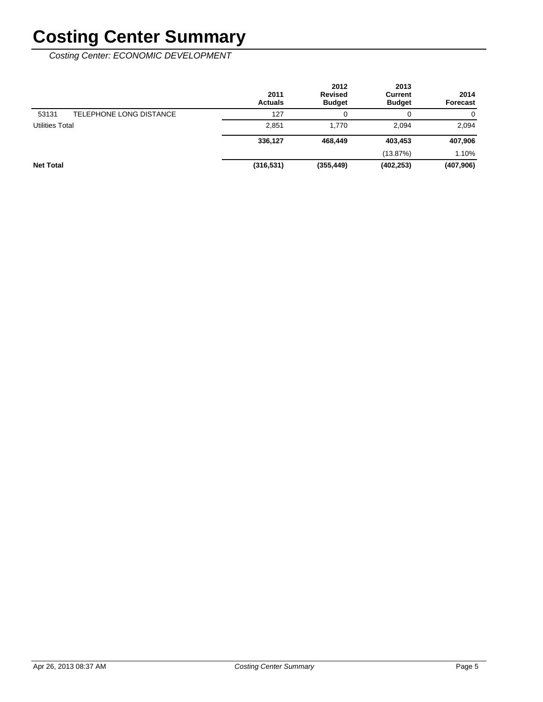Costing Center: ECONOMIC DEVELOPMENT

|                                  | 2011<br><b>Actuals</b> | 2012<br><b>Revised</b><br><b>Budget</b> | 2013<br>Current<br><b>Budget</b> | 2014<br><b>Forecast</b> |
|----------------------------------|------------------------|-----------------------------------------|----------------------------------|-------------------------|
| TELEPHONE LONG DISTANCE<br>53131 | 127                    | 0                                       |                                  | 0                       |
| <b>Utilities Total</b>           | 2,851                  | 1.770                                   | 2.094                            | 2,094                   |
|                                  | 336,127                | 468.449                                 | 403,453                          | 407,906                 |
|                                  |                        |                                         | (13.87%)                         | 1.10%                   |
| <b>Net Total</b>                 | (316, 531)             | (355, 449)                              | (402, 253)                       | (407, 906)              |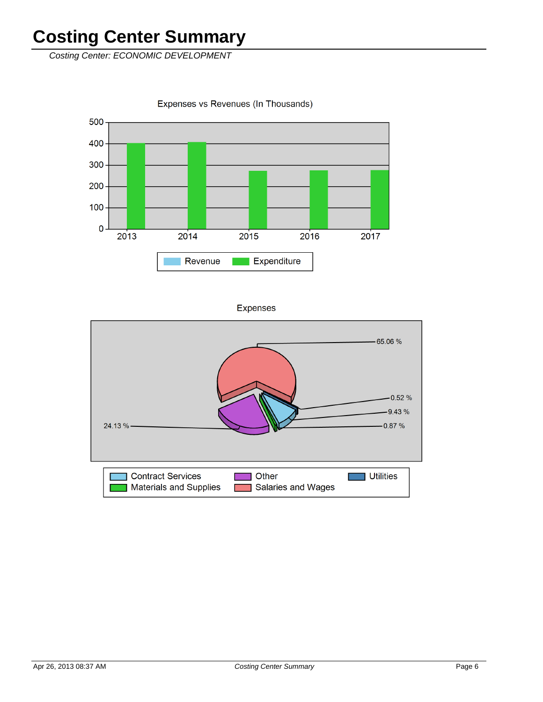Costing Center: ECONOMIC DEVELOPMENT

 $\mathbf 0$ 

 $2013$ 

 $2014$ 

Revenue

500 400  $300 200 100 -$ 



**Expenses** 

Expenditure

2015

2016

2017

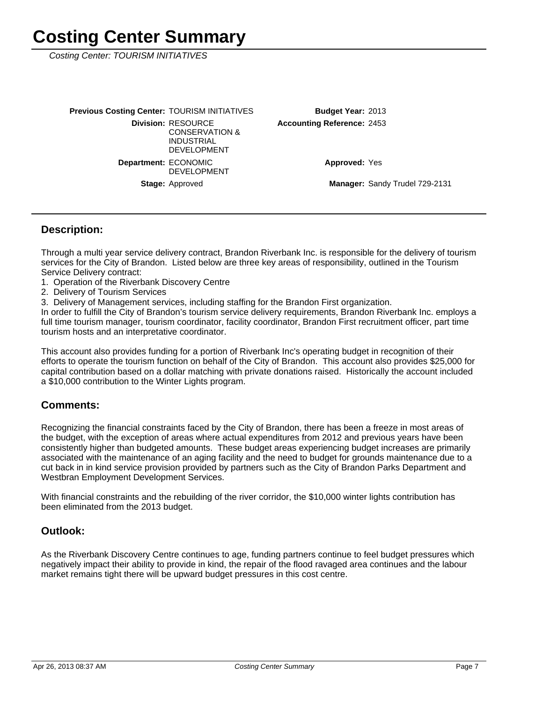Costing Center: TOURISM INITIATIVES

Manager: Sandy Trudel 729-2131 **Approved: Yes** Accounting Reference: 2453 Budget Year: 2013 Stage: Approved Department: ECONOMIC DEVELOPMENT **Division: RESOURCE** CONSERVATION & INDUSTRIAL DEVELOPMENT **Previous Costing Center: TOURISM INITIATIVES** 

#### **Description:**

Through a multi year service delivery contract, Brandon Riverbank Inc. is responsible for the delivery of tourism services for the City of Brandon. Listed below are three key areas of responsibility, outlined in the Tourism Service Delivery contract:

- 1. Operation of the Riverbank Discovery Centre
- 2. Delivery of Tourism Services
- 3. Delivery of Management services, including staffing for the Brandon First organization.

In order to fulfill the City of Brandon's tourism service delivery requirements, Brandon Riverbank Inc. employs a full time tourism manager, tourism coordinator, facility coordinator, Brandon First recruitment officer, part time tourism hosts and an interpretative coordinator.

This account also provides funding for a portion of Riverbank Inc's operating budget in recognition of their efforts to operate the tourism function on behalf of the City of Brandon. This account also provides \$25,000 for capital contribution based on a dollar matching with private donations raised. Historically the account included a \$10,000 contribution to the Winter Lights program.

#### **Comments:**

Recognizing the financial constraints faced by the City of Brandon, there has been a freeze in most areas of the budget, with the exception of areas where actual expenditures from 2012 and previous years have been consistently higher than budgeted amounts. These budget areas experiencing budget increases are primarily associated with the maintenance of an aging facility and the need to budget for grounds maintenance due to a cut back in in kind service provision provided by partners such as the City of Brandon Parks Department and Westbran Employment Development Services.

With financial constraints and the rebuilding of the river corridor, the \$10,000 winter lights contribution has been eliminated from the 2013 budget.

#### **Outlook:**

As the Riverbank Discovery Centre continues to age, funding partners continue to feel budget pressures which negatively impact their ability to provide in kind, the repair of the flood ravaged area continues and the labour market remains tight there will be upward budget pressures in this cost centre.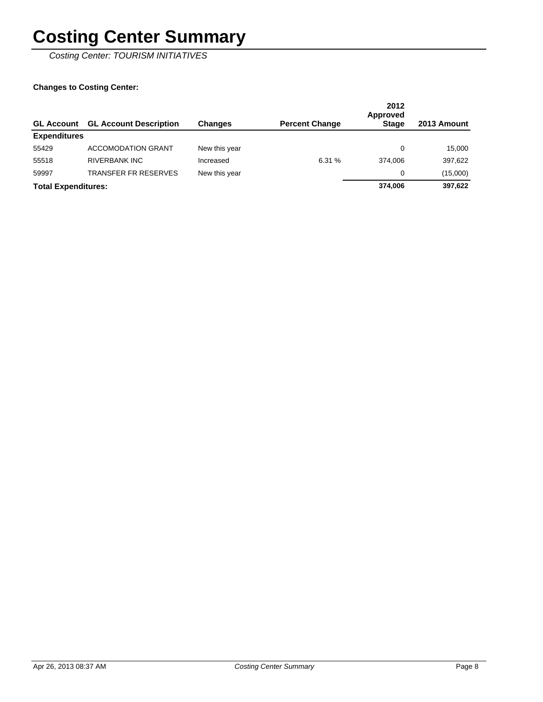Costing Center: TOURISM INITIATIVES

#### **Changes to Costing Center:**

| <b>GL Account</b>          | <b>GL Account Description</b> | <b>Changes</b> | <b>Percent Change</b> | 2012<br>Approved<br><b>Stage</b> | 2013 Amount |
|----------------------------|-------------------------------|----------------|-----------------------|----------------------------------|-------------|
| <b>Expenditures</b>        |                               |                |                       |                                  |             |
| 55429                      | <b>ACCOMODATION GRANT</b>     | New this year  |                       | 0                                | 15.000      |
| 55518                      | <b>RIVERBANK INC</b>          | Increased      | 6.31 %                | 374.006                          | 397,622     |
| 59997                      | <b>TRANSFER FR RESERVES</b>   | New this year  |                       | 0                                | (15,000)    |
| <b>Total Expenditures:</b> |                               |                |                       | 374.006                          | 397,622     |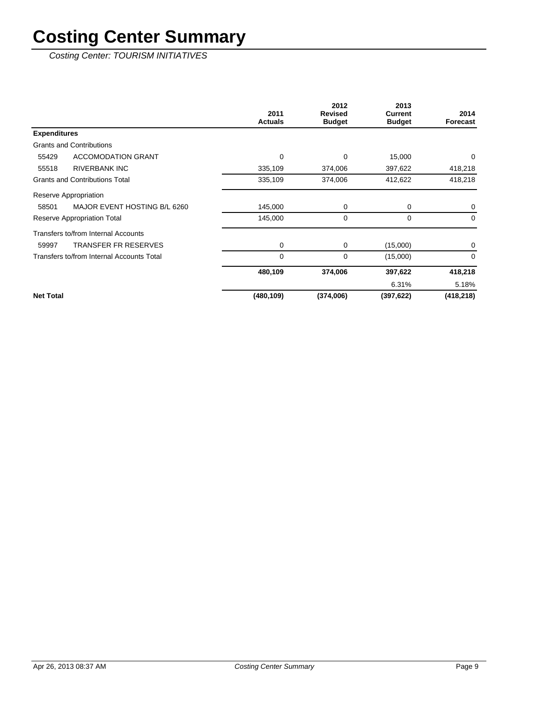Costing Center: TOURISM INITIATIVES

|                                           | 2011           | 2012<br><b>Revised</b> | 2013<br>Current | 2014       |
|-------------------------------------------|----------------|------------------------|-----------------|------------|
|                                           | <b>Actuals</b> | <b>Budget</b>          | <b>Budget</b>   | Forecast   |
| <b>Expenditures</b>                       |                |                        |                 |            |
| <b>Grants and Contributions</b>           |                |                        |                 |            |
| 55429<br><b>ACCOMODATION GRANT</b>        | $\Omega$       | 0                      | 15,000          | $\Omega$   |
| <b>RIVERBANK INC</b><br>55518             | 335,109        | 374,006                | 397,622         | 418,218    |
| <b>Grants and Contributions Total</b>     | 335,109        | 374,006                | 412,622         | 418,218    |
| Reserve Appropriation                     |                |                        |                 |            |
| MAJOR EVENT HOSTING B/L 6260<br>58501     | 145,000        | 0                      | 0               | 0          |
| Reserve Appropriation Total               | 145,000        | 0                      | 0               | $\Omega$   |
| Transfers to/from Internal Accounts       |                |                        |                 |            |
| <b>TRANSFER FR RESERVES</b><br>59997      | 0              | 0                      | (15,000)        | 0          |
| Transfers to/from Internal Accounts Total | 0              | 0                      | (15,000)        | $\Omega$   |
|                                           | 480,109        | 374,006                | 397,622         | 418,218    |
|                                           |                |                        | 6.31%           | 5.18%      |
| <b>Net Total</b>                          | (480, 109)     | (374,006)              | (397, 622)      | (418, 218) |